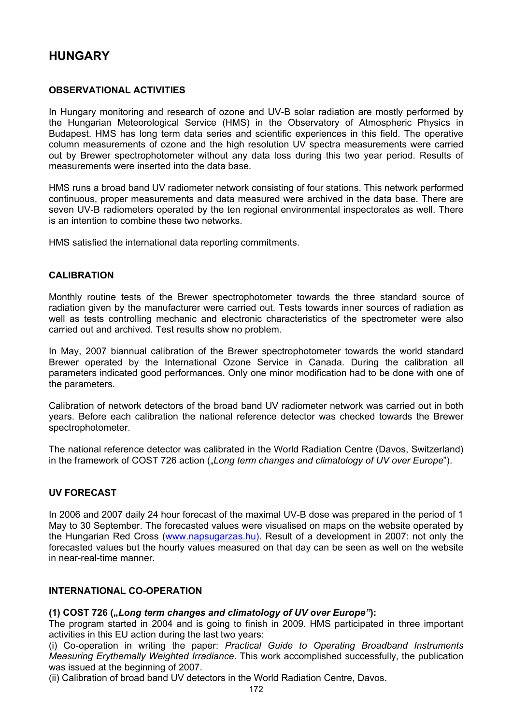# **HUNGARY**

### **OBSERVATIONAL ACTIVITIES**

In Hungary monitoring and research of ozone and UV-B solar radiation are mostly performed by the Hungarian Meteorological Service (HMS) in the Observatory of Atmospheric Physics in Budapest. HMS has long term data series and scientific experiences in this field. The operative column measurements of ozone and the high resolution UV spectra measurements were carried out by Brewer spectrophotometer without any data loss during this two year period. Results of measurements were inserted into the data base.

HMS runs a broad band UV radiometer network consisting of four stations. This network performed continuous, proper measurements and data measured were archived in the data base. There are seven UV-B radiometers operated by the ten regional environmental inspectorates as well. There is an intention to combine these two networks.

HMS satisfied the international data reporting commitments.

#### **CALIBRATION**

Monthly routine tests of the Brewer spectrophotometer towards the three standard source of radiation given by the manufacturer were carried out. Tests towards inner sources of radiation as well as tests controlling mechanic and electronic characteristics of the spectrometer were also carried out and archived. Test results show no problem.

In May, 2007 biannual calibration of the Brewer spectrophotometer towards the world standard Brewer operated by the International Ozone Service in Canada. During the calibration all parameters indicated good performances. Only one minor modification had to be done with one of the parameters.

Calibration of network detectors of the broad band UV radiometer network was carried out in both years. Before each calibration the national reference detector was checked towards the Brewer spectrophotometer.

The national reference detector was calibrated in the World Radiation Centre (Davos, Switzerland) in the framework of COST 726 action (*Long term changes and climatology of UV over Europe*").

#### **UV FORECAST**

In 2006 and 2007 daily 24 hour forecast of the maximal UV-B dose was prepared in the period of 1 May to 30 September. The forecasted values were visualised on maps on the website operated by the Hungarian Red Cross (www.napsugarzas.hu). Result of a development in 2007: not only the forecasted values but the hourly values measured on that day can be seen as well on the website in near-real-time manner.

#### **INTERNATIONAL CO-OPERATION**

#### **(1) COST 726 ("***Long term changes and climatology of UV over Europe"***):**

The program started in 2004 and is going to finish in 2009. HMS participated in three important activities in this EU action during the last two years:

(i) Co-operation in writing the paper: *Practical Guide to Operating Broadband Instruments Measuring Erythemally Weighted Irradiance*. This work accomplished successfully, the publication was issued at the beginning of 2007.

(ii) Calibration of broad band UV detectors in the World Radiation Centre, Davos.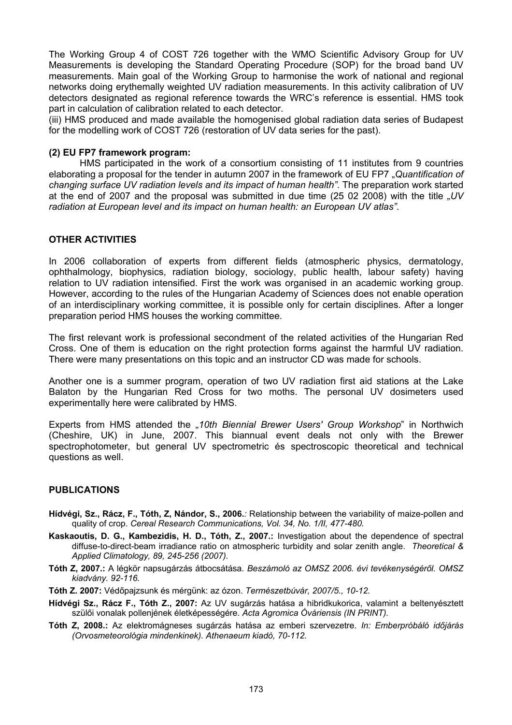The Working Group 4 of COST 726 together with the WMO Scientific Advisory Group for UV Measurements is developing the Standard Operating Procedure (SOP) for the broad band UV measurements. Main goal of the Working Group to harmonise the work of national and regional networks doing erythemally weighted UV radiation measurements. In this activity calibration of UV detectors designated as regional reference towards the WRC's reference is essential. HMS took part in calculation of calibration related to each detector.

(iii) HMS produced and made available the homogenised global radiation data series of Budapest for the modelling work of COST 726 (restoration of UV data series for the past).

#### **(2) EU FP7 framework program:**

HMS participated in the work of a consortium consisting of 11 institutes from 9 countries elaborating a proposal for the tender in autumn 2007 in the framework of EU FP7 "*Quantification of changing surface UV radiation levels and its impact of human health"*. The preparation work started at the end of 2007 and the proposal was submitted in due time (25 02 2008) with the title *"UV radiation at European level and its impact on human health: an European UV atlas"*.

#### **OTHER ACTIVITIES**

In 2006 collaboration of experts from different fields (atmospheric physics, dermatology, ophthalmology, biophysics, radiation biology, sociology, public health, labour safety) having relation to UV radiation intensified. First the work was organised in an academic working group. However, according to the rules of the Hungarian Academy of Sciences does not enable operation of an interdisciplinary working committee, it is possible only for certain disciplines. After a longer preparation period HMS houses the working committee.

The first relevant work is professional secondment of the related activities of the Hungarian Red Cross. One of them is education on the right protection forms against the harmful UV radiation. There were many presentations on this topic and an instructor CD was made for schools.

Another one is a summer program, operation of two UV radiation first aid stations at the Lake Balaton by the Hungarian Red Cross for two moths. The personal UV dosimeters used experimentally here were calibrated by HMS.

Experts from HMS attended the *"10th Biennial Brewer Users' Group Workshop*" in Northwich (Cheshire, UK) in June, 2007. This biannual event deals not only with the Brewer spectrophotometer, but general UV spectrometric és spectroscopic theoretical and technical questions as well.

#### **PUBLICATIONS**

- **Hídvégi, Sz., Rácz, F., Tóth, Z, Nándor, S., 2006.***:* Relationship between the variability of maize-pollen and quality of crop. *Cereal Research Communications, Vol. 34, No. 1/II, 477-480.*
- **Kaskaoutis, D. G., Kambezidis, H. D., Tóth, Z., 2007.:** Investigation about the dependence of spectral diffuse-to-direct-beam irradiance ratio on atmospheric turbidity and solar zenith angle. *Theoretical & Applied Climatology, 89, 245-256 (2007).*
- **Tóth Z, 2007.:** A légkör napsugárzás átbocsátása. *Beszámoló az OMSZ 2006. évi tevékenységéről. OMSZ kiadvány. 92-116.*
- **Tóth Z. 2007:** Védőpajzsunk és mérgünk: az ózon. *Természetbúvár, 2007/5., 10-12.*
- **Hídvégi Sz., Rácz F., Tóth Z., 2007:** Az UV sugárzás hatása a hibridkukorica, valamint a beltenyésztett szülői vonalak pollenjének életképességére. *Acta Agromica Óváriensis (IN PRINT).*
- **Tóth Z, 2008.:** Az elektromágneses sugárzás hatása az emberi szervezetre. *In: Emberpróbáló időjárás (Orvosmeteorológia mindenkinek). Athenaeum kiadó, 70-112.*